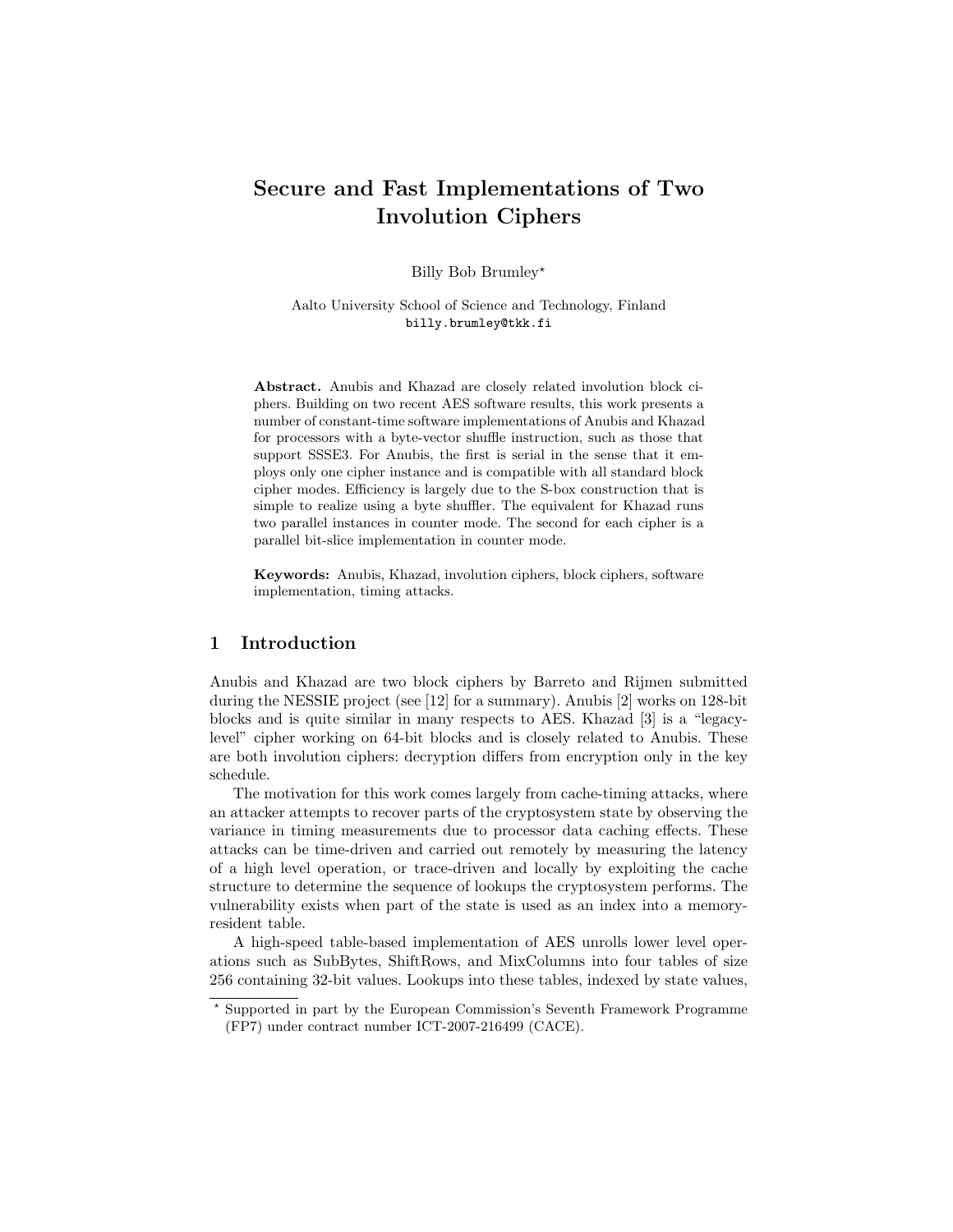# Secure and Fast Implementations of Two Involution Ciphers

Billy Bob Brumley\*

Aalto University School of Science and Technology, Finland billy.brumley@tkk.fi

Abstract. Anubis and Khazad are closely related involution block ciphers. Building on two recent AES software results, this work presents a number of constant-time software implementations of Anubis and Khazad for processors with a byte-vector shuffle instruction, such as those that support SSSE3. For Anubis, the first is serial in the sense that it employs only one cipher instance and is compatible with all standard block cipher modes. Efficiency is largely due to the S-box construction that is simple to realize using a byte shuffler. The equivalent for Khazad runs two parallel instances in counter mode. The second for each cipher is a parallel bit-slice implementation in counter mode.

Keywords: Anubis, Khazad, involution ciphers, block ciphers, software implementation, timing attacks.

# 1 Introduction

Anubis and Khazad are two block ciphers by Barreto and Rijmen submitted during the NESSIE project (see [12] for a summary). Anubis [2] works on 128-bit blocks and is quite similar in many respects to AES. Khazad [3] is a "legacylevel" cipher working on 64-bit blocks and is closely related to Anubis. These are both involution ciphers: decryption differs from encryption only in the key schedule.

The motivation for this work comes largely from cache-timing attacks, where an attacker attempts to recover parts of the cryptosystem state by observing the variance in timing measurements due to processor data caching effects. These attacks can be time-driven and carried out remotely by measuring the latency of a high level operation, or trace-driven and locally by exploiting the cache structure to determine the sequence of lookups the cryptosystem performs. The vulnerability exists when part of the state is used as an index into a memoryresident table.

A high-speed table-based implementation of AES unrolls lower level operations such as SubBytes, ShiftRows, and MixColumns into four tables of size 256 containing 32-bit values. Lookups into these tables, indexed by state values,

<sup>?</sup> Supported in part by the European Commission's Seventh Framework Programme (FP7) under contract number ICT-2007-216499 (CACE).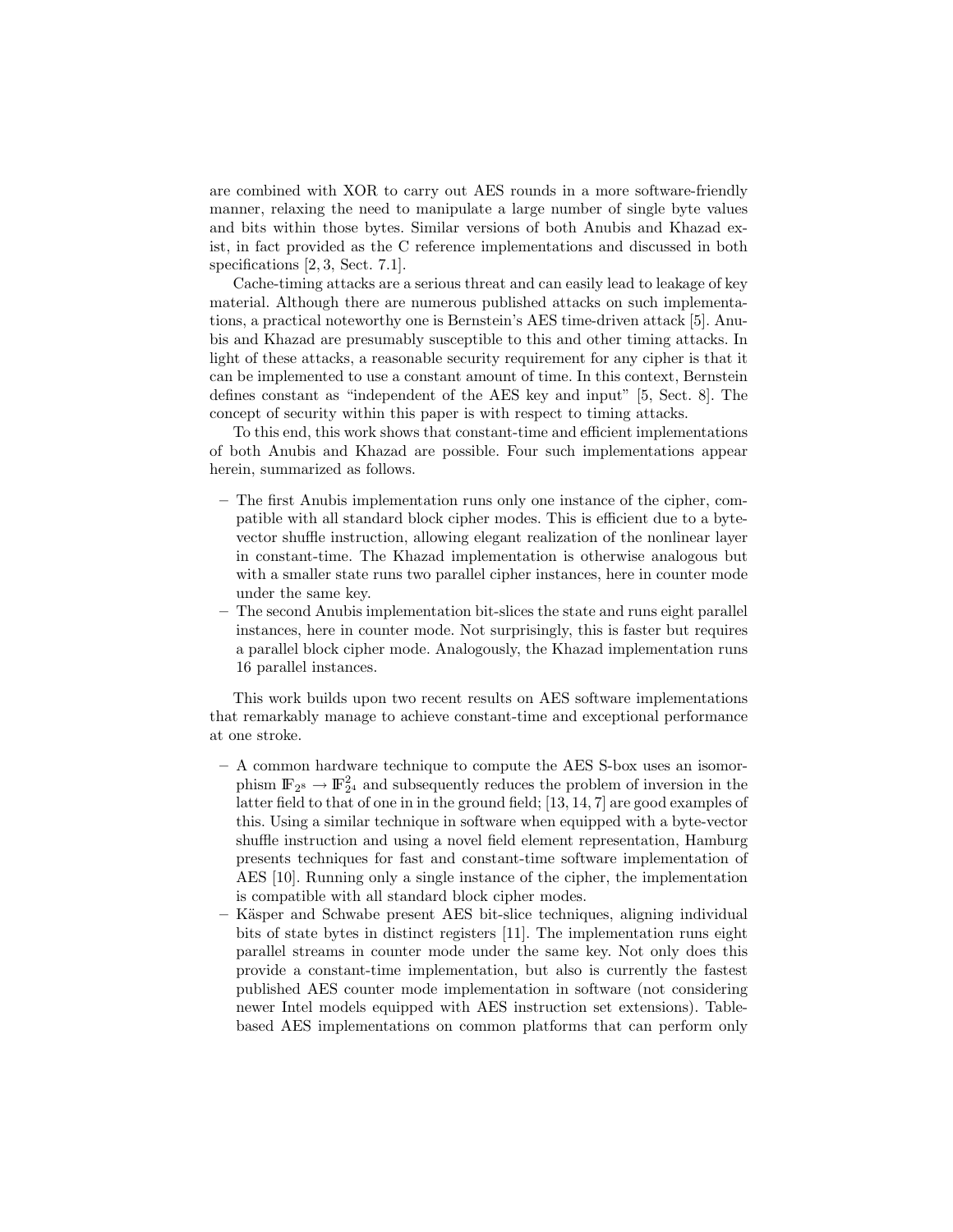are combined with XOR to carry out AES rounds in a more software-friendly manner, relaxing the need to manipulate a large number of single byte values and bits within those bytes. Similar versions of both Anubis and Khazad exist, in fact provided as the C reference implementations and discussed in both specifications [2, 3, Sect. 7.1].

Cache-timing attacks are a serious threat and can easily lead to leakage of key material. Although there are numerous published attacks on such implementations, a practical noteworthy one is Bernstein's AES time-driven attack [5]. Anubis and Khazad are presumably susceptible to this and other timing attacks. In light of these attacks, a reasonable security requirement for any cipher is that it can be implemented to use a constant amount of time. In this context, Bernstein defines constant as "independent of the AES key and input" [5, Sect. 8]. The concept of security within this paper is with respect to timing attacks.

To this end, this work shows that constant-time and efficient implementations of both Anubis and Khazad are possible. Four such implementations appear herein, summarized as follows.

- The first Anubis implementation runs only one instance of the cipher, compatible with all standard block cipher modes. This is efficient due to a bytevector shuffle instruction, allowing elegant realization of the nonlinear layer in constant-time. The Khazad implementation is otherwise analogous but with a smaller state runs two parallel cipher instances, here in counter mode under the same key.
- The second Anubis implementation bit-slices the state and runs eight parallel instances, here in counter mode. Not surprisingly, this is faster but requires a parallel block cipher mode. Analogously, the Khazad implementation runs 16 parallel instances.

This work builds upon two recent results on AES software implementations that remarkably manage to achieve constant-time and exceptional performance at one stroke.

- A common hardware technique to compute the AES S-box uses an isomorphism  $\mathbb{F}_{2^8} \to \mathbb{F}_{2^4}^2$  and subsequently reduces the problem of inversion in the latter field to that of one in in the ground field; [13, 14, 7] are good examples of this. Using a similar technique in software when equipped with a byte-vector shuffle instruction and using a novel field element representation, Hamburg presents techniques for fast and constant-time software implementation of AES [10]. Running only a single instance of the cipher, the implementation is compatible with all standard block cipher modes.
- Käsper and Schwabe present AES bit-slice techniques, aligning individual bits of state bytes in distinct registers [11]. The implementation runs eight parallel streams in counter mode under the same key. Not only does this provide a constant-time implementation, but also is currently the fastest published AES counter mode implementation in software (not considering newer Intel models equipped with AES instruction set extensions). Tablebased AES implementations on common platforms that can perform only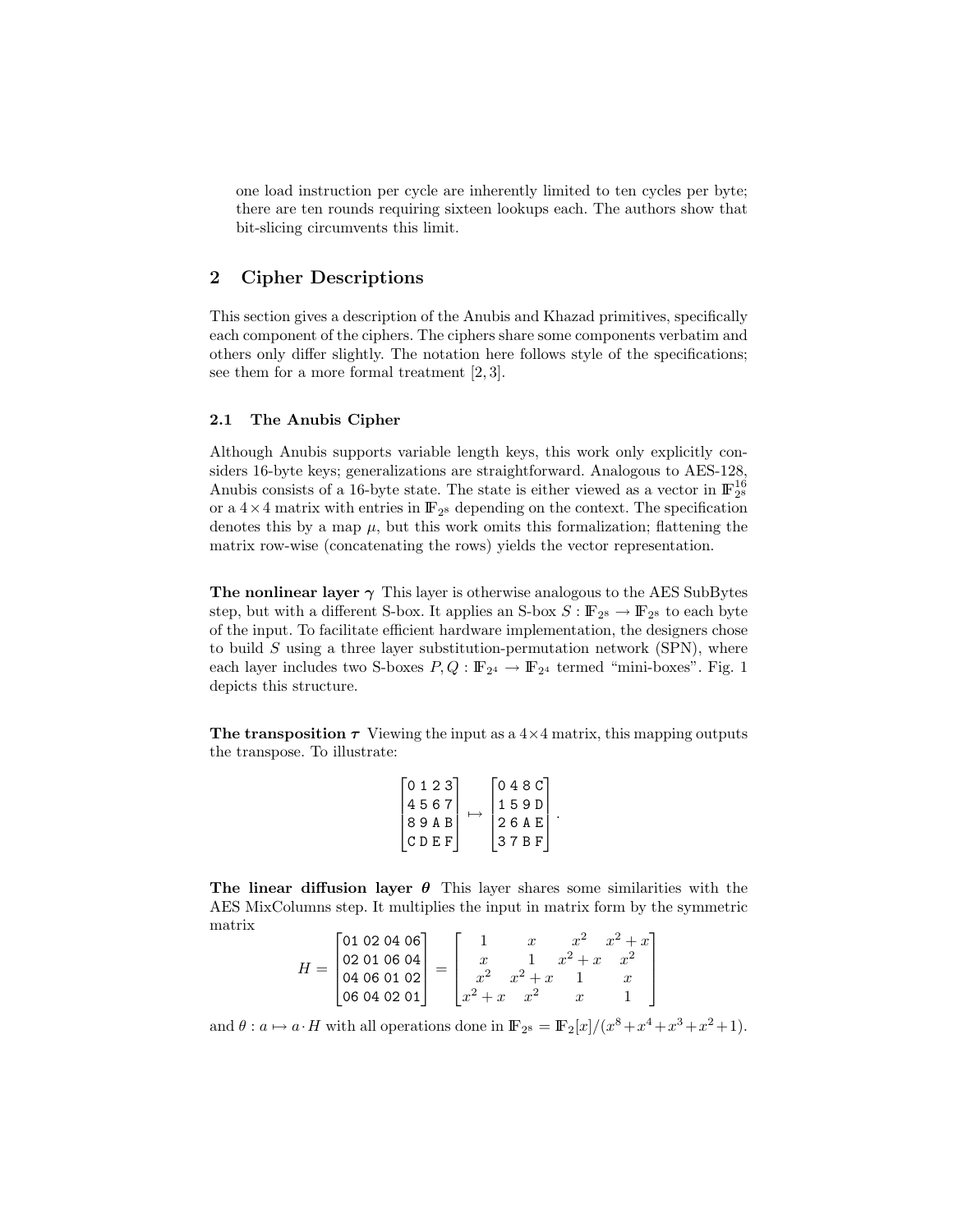one load instruction per cycle are inherently limited to ten cycles per byte; there are ten rounds requiring sixteen lookups each. The authors show that bit-slicing circumvents this limit.

# 2 Cipher Descriptions

This section gives a description of the Anubis and Khazad primitives, specifically each component of the ciphers. The ciphers share some components verbatim and others only differ slightly. The notation here follows style of the specifications; see them for a more formal treatment [2, 3].

#### 2.1 The Anubis Cipher

Although Anubis supports variable length keys, this work only explicitly considers 16-byte keys; generalizations are straightforward. Analogous to AES-128, Anubis consists of a 16-byte state. The state is either viewed as a vector in  $\mathbb{F}_{2^8}^{16}$ or a  $4 \times 4$  matrix with entries in  $\mathbb{F}_{2^8}$  depending on the context. The specification denotes this by a map  $\mu$ , but this work omits this formalization; flattening the matrix row-wise (concatenating the rows) yields the vector representation.

The nonlinear layer  $\gamma$  This layer is otherwise analogous to the AES SubBytes step, but with a different S-box. It applies an S-box  $S: \mathbb{F}_{2^8} \to \mathbb{F}_{2^8}$  to each byte of the input. To facilitate efficient hardware implementation, the designers chose to build  $S$  using a three layer substitution-permutation network (SPN), where each layer includes two S-boxes  $P, Q : \mathbb{F}_{2^4} \to \mathbb{F}_{2^4}$  termed "mini-boxes". Fig. 1 depicts this structure.

The transposition  $\tau$  Viewing the input as a  $4\times 4$  matrix, this mapping outputs the transpose. To illustrate:

| 0 1 2 3 |         | 048Cl |  |
|---------|---------|-------|--|
| 4567    |         | 159DI |  |
| 8 9 A B | 126 A E |       |  |
| ICDEF.  |         | 37BF  |  |
|         |         |       |  |

The linear diffusion layer  $\theta$  This layer shares some similarities with the AES MixColumns step. It multiplies the input in matrix form by the symmetric matrix  $\mathbf{r}$ 

$$
H = \begin{bmatrix} 01 & 02 & 04 & 06 \\ 02 & 01 & 06 & 04 \\ 04 & 06 & 01 & 02 \\ 06 & 04 & 02 & 01 \end{bmatrix} = \begin{bmatrix} 1 & x & x^2 & x^2 + x \\ x & 1 & x^2 + x & x^2 \\ x^2 & x^2 + x & 1 & x \\ x^2 + x & x^2 & x & 1 \end{bmatrix}
$$

and  $\theta: a \mapsto a \cdot H$  with all operations done in  $\mathbb{F}_{2^8} = \mathbb{F}_2[x]/(x^8 + x^4 + x^3 + x^2 + 1)$ .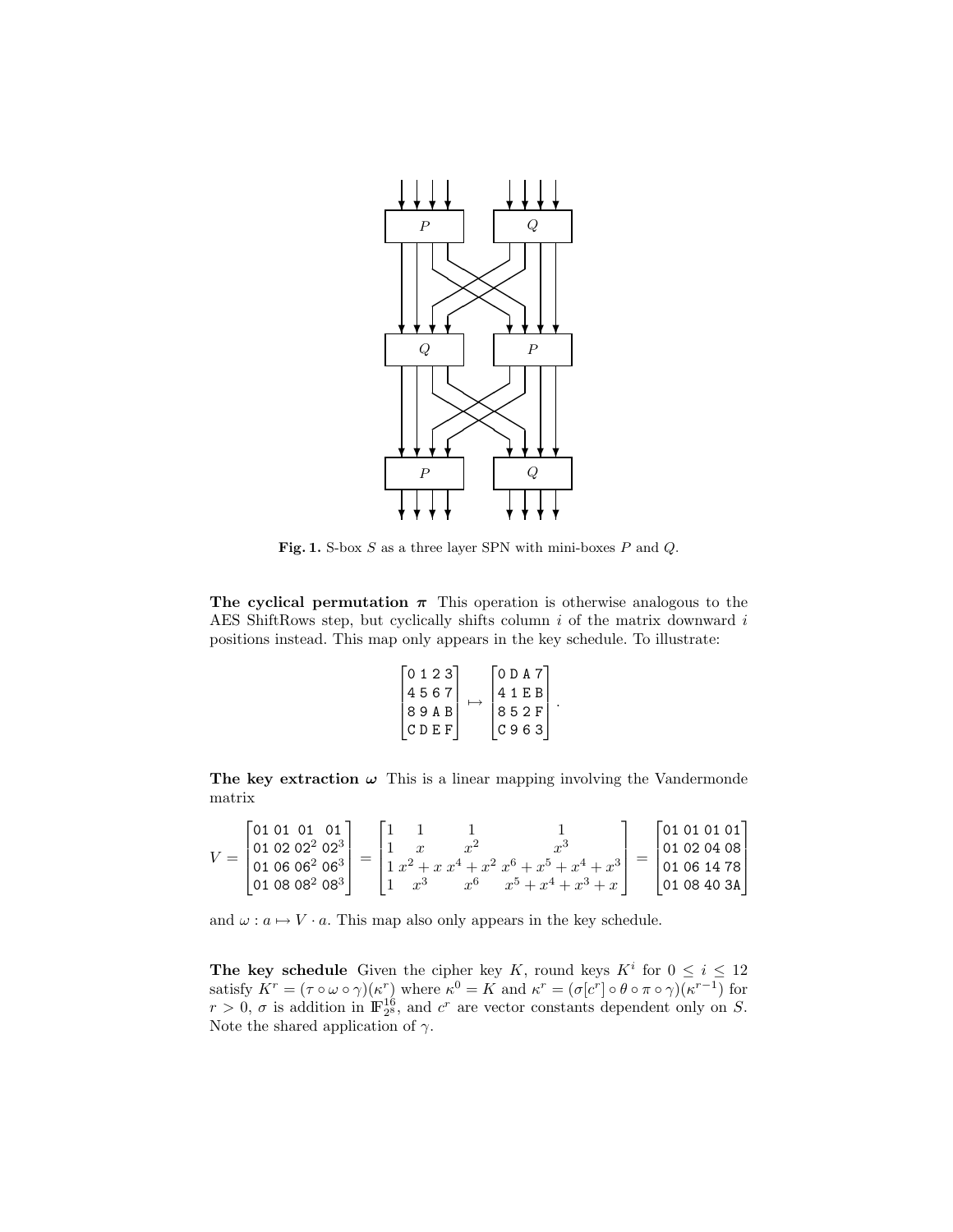

Fig. 1. S-box  $S$  as a three layer SPN with mini-boxes  $P$  and  $Q$ .

The cyclical permutation  $\pi$  This operation is otherwise analogous to the AES ShiftRows step, but cyclically shifts column  $i$  of the matrix downward  $i$ positions instead. This map only appears in the key schedule. To illustrate:

| 0 1 2 3          | 10 D A 7 I  |
|------------------|-------------|
| 45671            | 41 E B      |
| 89ABI            | 852F        |
| $ C\,D\,E\,F\, $ | I C 9 6 3 I |

.

The key extraction  $\omega$  This is a linear mapping involving the Vandermonde matrix

$$
V = \begin{bmatrix} 01 & 01 & 01 & 01 \\ 01 & 02 & 02^2 & 02^3 \\ 01 & 06 & 06^2 & 06^3 \\ 01 & 08 & 08^2 & 08^3 \end{bmatrix} = \begin{bmatrix} 1 & 1 & 1 & 1 \\ 1 & x & x^2 & x^3 \\ 1 & x^2 + x & x^4 + x^2 & x^6 + x^5 + x^4 + x^3 \\ 1 & x^3 & x^6 & x^5 + x^4 + x^3 + x \end{bmatrix} = \begin{bmatrix} 01 & 01 & 01 & 01 \\ 01 & 02 & 04 & 08 \\ 01 & 06 & 14 & 78 \\ 01 & 08 & 40 & 3A \end{bmatrix}
$$

and  $\omega : a \mapsto V \cdot a$ . This map also only appears in the key schedule.

The key schedule Given the cipher key K, round keys  $K^i$  for  $0 \le i \le 12$ satisfy  $K^r = (\tau \circ \omega \circ \gamma)(\kappa^r)$  where  $\kappa^0 = K$  and  $\kappa^r = (\sigma[c^r] \circ \theta \circ \pi \circ \gamma)(\kappa^{r-1})$  for  $r > 0$ ,  $\sigma$  is addition in  $\mathbb{F}_{2^8}^{16}$ , and  $c^r$  are vector constants dependent only on S. Note the shared application of  $\gamma$ .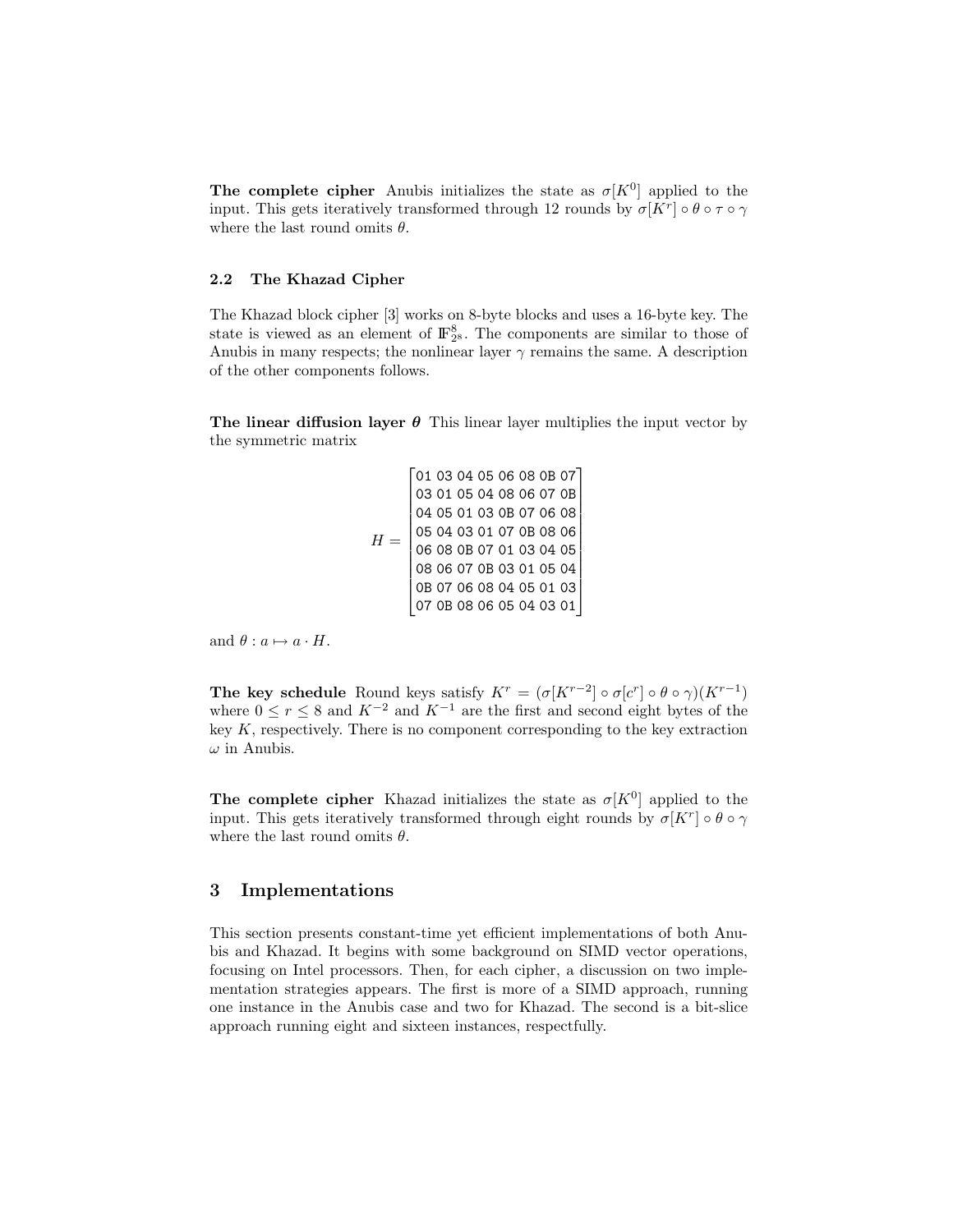The complete cipher Anubis initializes the state as  $\sigma[K^0]$  applied to the input. This gets iteratively transformed through 12 rounds by  $\sigma[K^r] \circ \theta \circ \tau \circ \gamma$ where the last round omits  $\theta$ .

#### 2.2 The Khazad Cipher

The Khazad block cipher [3] works on 8-byte blocks and uses a 16-byte key. The state is viewed as an element of  $\mathbb{F}_{2^8}^8$ . The components are similar to those of Anubis in many respects; the nonlinear layer  $\gamma$  remains the same. A description of the other components follows.

The linear diffusion layer  $\theta$  This linear layer multiplies the input vector by the symmetric matrix

|   |  |  |  | 01 03 04 05 06 08 0B 07 |  |
|---|--|--|--|-------------------------|--|
|   |  |  |  | 03 01 05 04 08 06 07 0B |  |
|   |  |  |  | 04 05 01 03 0B 07 06 08 |  |
| Н |  |  |  | 05 04 03 01 07 0B 08 06 |  |
|   |  |  |  | 06 08 0B 07 01 03 04 05 |  |
|   |  |  |  | 08 06 07 0B 03 01 05 04 |  |
|   |  |  |  | 0B 07 06 08 04 05 01 03 |  |
|   |  |  |  | 0B 08 06 05 04 03 01    |  |

and  $\theta : a \mapsto a \cdot H$ .

The key schedule Round keys satisfy  $K^r = (\sigma[K^{r-2}] \circ \sigma[c^r] \circ \theta \circ \gamma)(K^{r-1})$ where  $0 \le r \le 8$  and  $K^{-2}$  and  $K^{-1}$  are the first and second eight bytes of the key  $K$ , respectively. There is no component corresponding to the key extraction  $\omega$  in Anubis.

The complete cipher Khazad initializes the state as  $\sigma[K^0]$  applied to the input. This gets iteratively transformed through eight rounds by  $\sigma[K^r] \circ \theta \circ \gamma$ where the last round omits  $\theta$ .

# 3 Implementations

This section presents constant-time yet efficient implementations of both Anubis and Khazad. It begins with some background on SIMD vector operations, focusing on Intel processors. Then, for each cipher, a discussion on two implementation strategies appears. The first is more of a SIMD approach, running one instance in the Anubis case and two for Khazad. The second is a bit-slice approach running eight and sixteen instances, respectfully.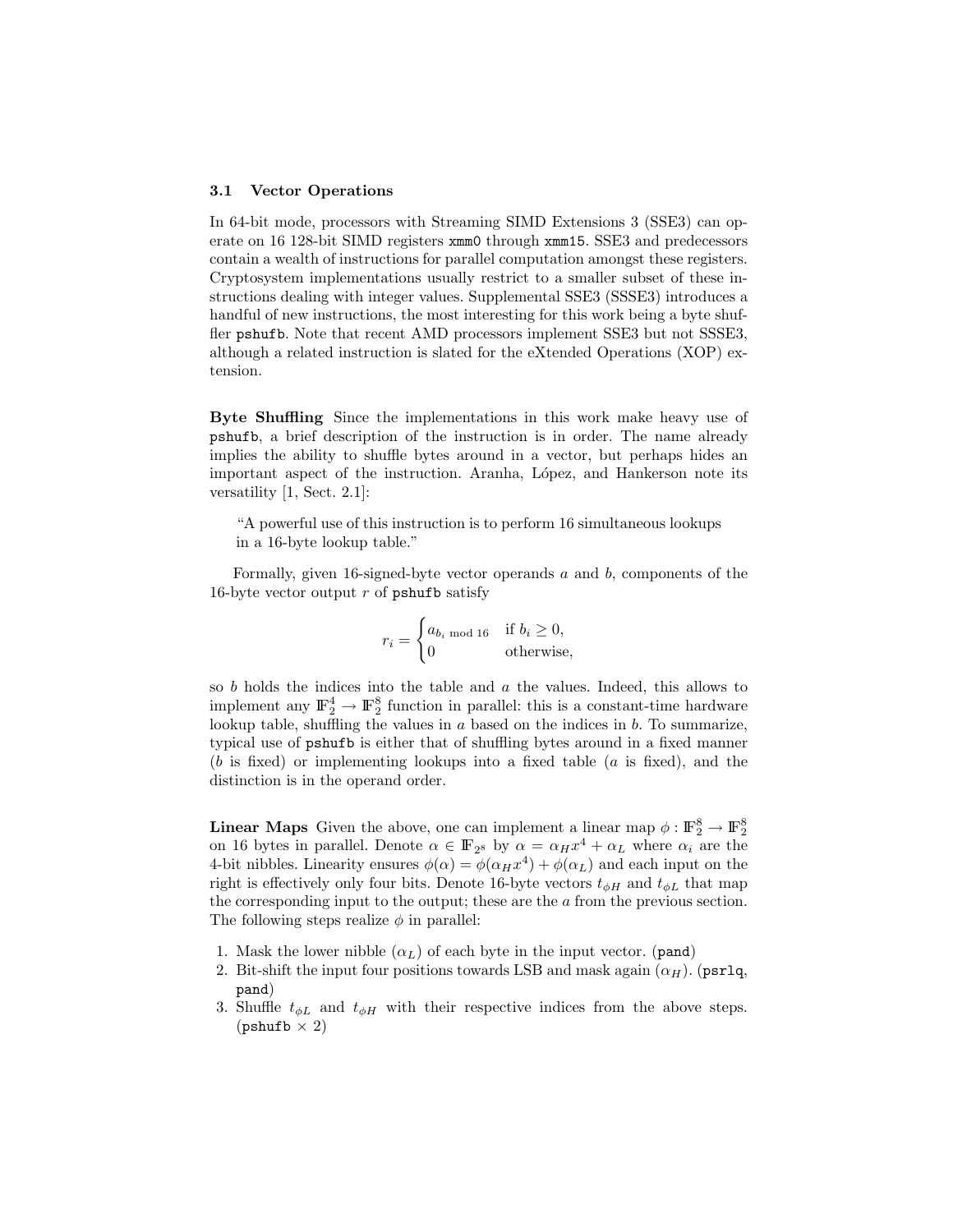#### 3.1 Vector Operations

In 64-bit mode, processors with Streaming SIMD Extensions 3 (SSE3) can operate on 16 128-bit SIMD registers xmm0 through xmm15. SSE3 and predecessors contain a wealth of instructions for parallel computation amongst these registers. Cryptosystem implementations usually restrict to a smaller subset of these instructions dealing with integer values. Supplemental SSE3 (SSSE3) introduces a handful of new instructions, the most interesting for this work being a byte shuffler pshufb. Note that recent AMD processors implement SSE3 but not SSSE3, although a related instruction is slated for the eXtended Operations (XOP) extension.

Byte Shuffling Since the implementations in this work make heavy use of pshufb, a brief description of the instruction is in order. The name already implies the ability to shuffle bytes around in a vector, but perhaps hides an important aspect of the instruction. Aranha, López, and Hankerson note its versatility [1, Sect. 2.1]:

"A powerful use of this instruction is to perform 16 simultaneous lookups in a 16-byte lookup table."

Formally, given 16-signed-byte vector operands a and b, components of the 16-byte vector output  $r$  of pshufb satisfy

$$
r_i = \begin{cases} a_{b_i \text{ mod } 16} & \text{if } b_i \ge 0, \\ 0 & \text{otherwise,} \end{cases}
$$

so  $b$  holds the indices into the table and  $a$  the values. Indeed, this allows to implement any  $\mathbb{F}_2^4 \to \mathbb{F}_2^8$  function in parallel: this is a constant-time hardware lookup table, shuffling the values in  $a$  based on the indices in  $b$ . To summarize, typical use of pshufb is either that of shuffling bytes around in a fixed manner  $(b \text{ is fixed})$  or implementing lookups into a fixed table  $(a \text{ is fixed})$ , and the distinction is in the operand order.

**Linear Maps** Given the above, one can implement a linear map  $\phi : \mathbb{F}_2^8 \to \mathbb{F}_2^8$ on 16 bytes in parallel. Denote  $\alpha \in \mathbb{F}_{2^8}$  by  $\alpha = \alpha_H x^4 + \alpha_L$  where  $\alpha_i$  are the 4-bit nibbles. Linearity ensures  $\phi(\alpha) = \phi(\alpha_H x^4) + \phi(\alpha_L)$  and each input on the right is effectively only four bits. Denote 16-byte vectors  $t_{\phi H}$  and  $t_{\phi L}$  that map the corresponding input to the output; these are the a from the previous section. The following steps realize  $\phi$  in parallel:

- 1. Mask the lower nibble  $(\alpha_L)$  of each byte in the input vector. (pand)
- 2. Bit-shift the input four positions towards LSB and mask again  $(\alpha_H)$ . (psrlq, pand)
- 3. Shuffle  $t_{\phi L}$  and  $t_{\phi H}$  with their respective indices from the above steps.  $(\text{pshuffb} \times 2)$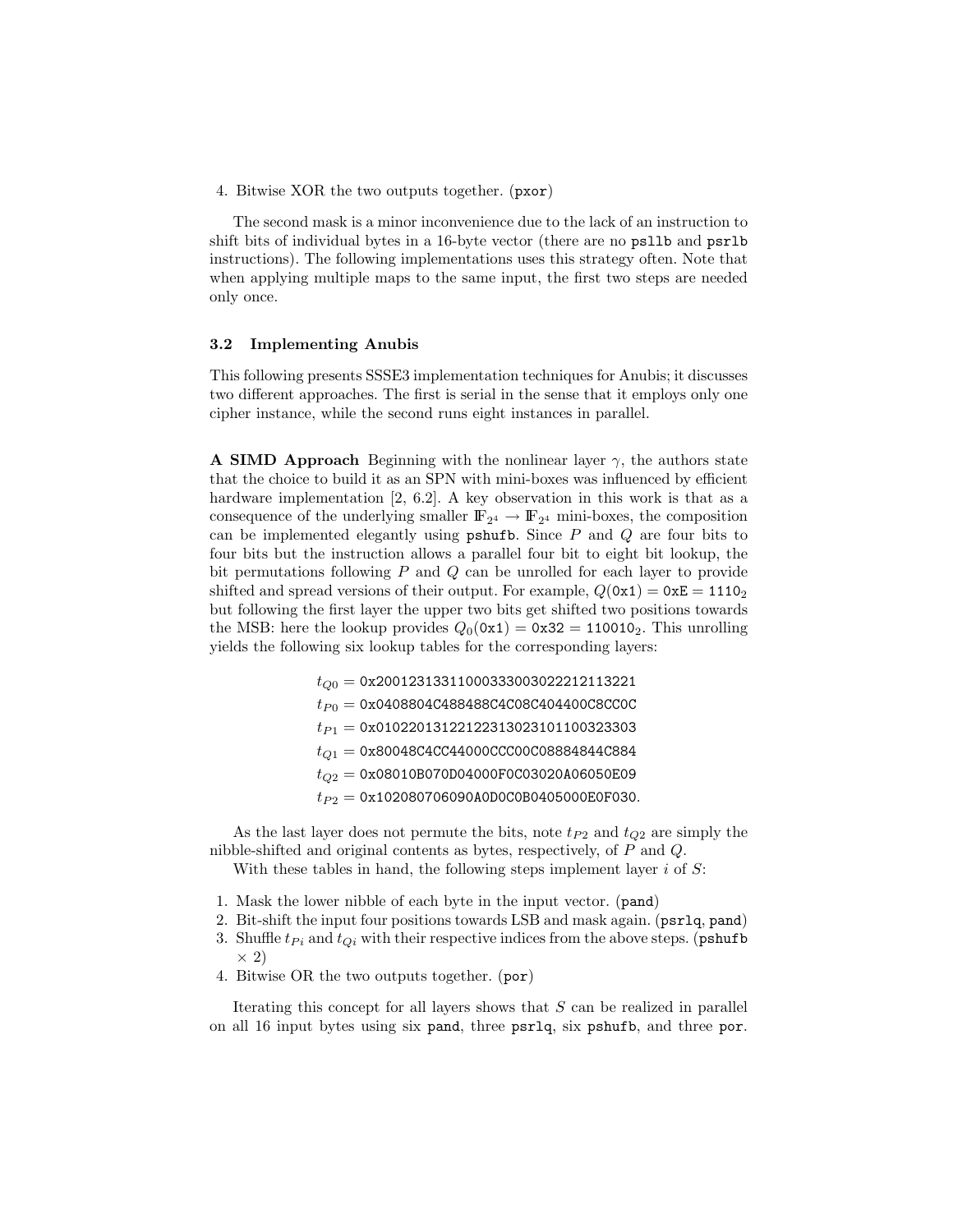4. Bitwise XOR the two outputs together. (pxor)

The second mask is a minor inconvenience due to the lack of an instruction to shift bits of individual bytes in a 16-byte vector (there are no psllb and psrlb instructions). The following implementations uses this strategy often. Note that when applying multiple maps to the same input, the first two steps are needed only once.

#### 3.2 Implementing Anubis

This following presents SSSE3 implementation techniques for Anubis; it discusses two different approaches. The first is serial in the sense that it employs only one cipher instance, while the second runs eight instances in parallel.

**A SIMD Approach** Beginning with the nonlinear layer  $\gamma$ , the authors state that the choice to build it as an SPN with mini-boxes was influenced by efficient hardware implementation [2, 6.2]. A key observation in this work is that as a consequence of the underlying smaller  $\mathbb{F}_{2^4} \to \mathbb{F}_{2^4}$  mini-boxes, the composition can be implemented elegantly using  $\mathsf{pshufb}$ . Since  $P$  and  $Q$  are four bits to four bits but the instruction allows a parallel four bit to eight bit lookup, the bit permutations following  $P$  and  $Q$  can be unrolled for each layer to provide shifted and spread versions of their output. For example,  $Q(0x1) = 0xE = 1110<sub>2</sub>$ but following the first layer the upper two bits get shifted two positions towards the MSB: here the lookup provides  $Q_0(0x1) = 0x32 = 110010_2$ . This unrolling yields the following six lookup tables for the corresponding layers:

> $t_{O0} = 0$ x20012313311000333003022212113221  $t_{P0} = 0$ x0408804C488488C4C08C404400C8CC0C  $t_{P1} = 0x01022013122122313023101100323303$  $t_{Q1} = 0x80048C4CC44000CCC00C08884844C884$  $t_{O2} = 0x08010B070D04000F0C03020A06050E09$  $t_{P2} = 0$ x102080706090A0D0C0B0405000E0F030.

As the last layer does not permute the bits, note  $t_{P2}$  and  $t_{Q2}$  are simply the nibble-shifted and original contents as bytes, respectively, of P and Q.

With these tables in hand, the following steps implement layer i of  $S$ :

- 1. Mask the lower nibble of each byte in the input vector. (pand)
- 2. Bit-shift the input four positions towards LSB and mask again. (psrlq, pand)
- 3. Shuffle  $t_{Pi}$  and  $t_{Qi}$  with their respective indices from the above steps. (pshufb  $\times$  2)
- 4. Bitwise OR the two outputs together. (por)

Iterating this concept for all layers shows that  $S$  can be realized in parallel on all 16 input bytes using six pand, three psrlq, six pshufb, and three por.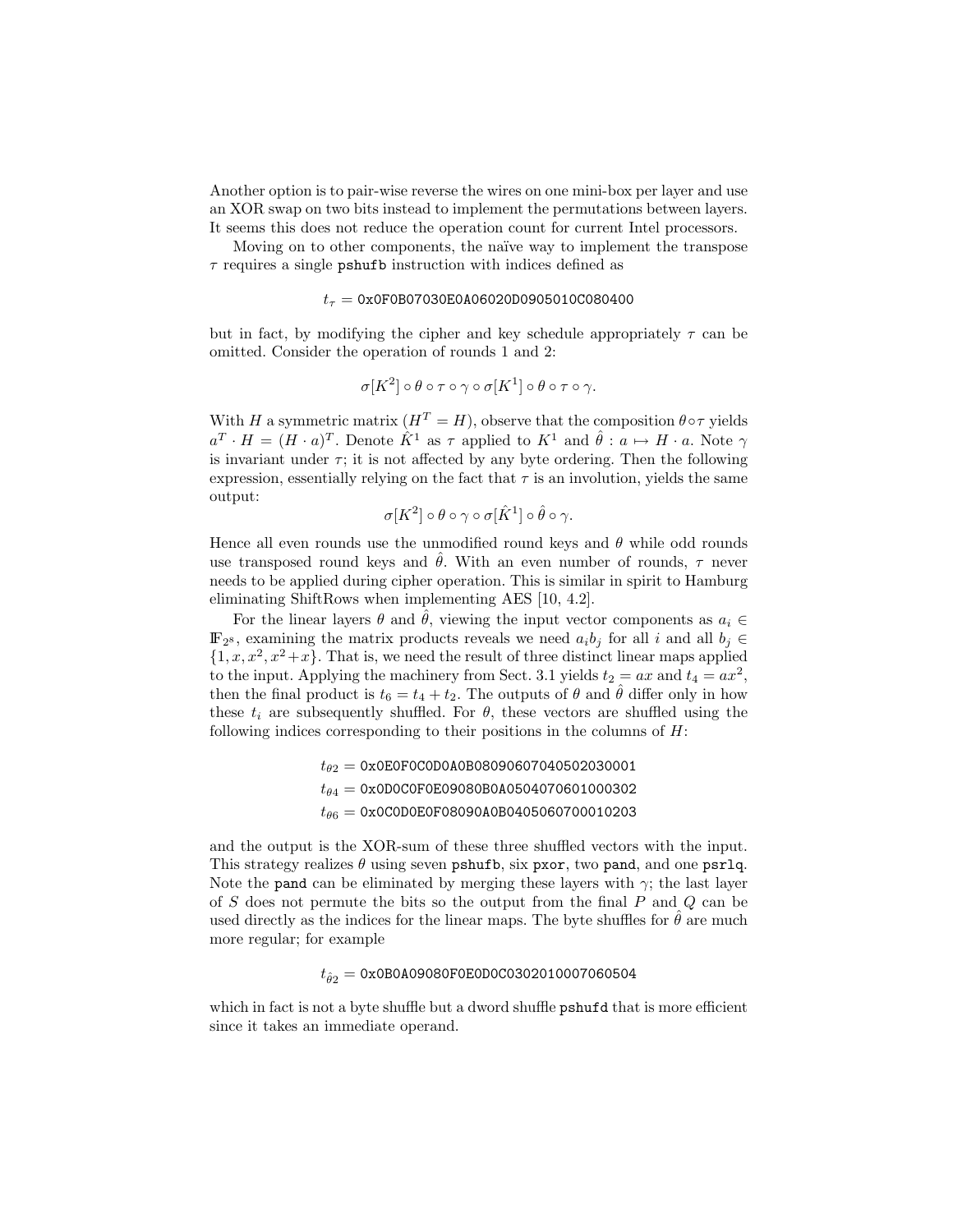Another option is to pair-wise reverse the wires on one mini-box per layer and use an XOR swap on two bits instead to implement the permutations between layers. It seems this does not reduce the operation count for current Intel processors.

Moving on to other components, the naïve way to implement the transpose  $\tau$  requires a single pshufb instruction with indices defined as

#### $t_{\tau} = 0$ x0F0B07030E0A06020D0905010C080400

but in fact, by modifying the cipher and key schedule appropriately  $\tau$  can be omitted. Consider the operation of rounds 1 and 2:

$$
\sigma[K^2] \circ \theta \circ \tau \circ \gamma \circ \sigma[K^1] \circ \theta \circ \tau \circ \gamma.
$$

With H a symmetric matrix  $(H^T = H)$ , observe that the composition  $\theta \circ \tau$  yields  $a^T \cdot H = (H \cdot a)^T$ . Denote  $\hat{K}^1$  as  $\tau$  applied to  $K^1$  and  $\hat{\theta} : a \mapsto H \cdot a$ . Note  $\gamma$ is invariant under  $\tau$ ; it is not affected by any byte ordering. Then the following expression, essentially relying on the fact that  $\tau$  is an involution, yields the same output:

$$
\sigma[K^2] \circ \theta \circ \gamma \circ \sigma[\hat{K}^1] \circ \hat{\theta} \circ \gamma.
$$

Hence all even rounds use the unmodified round keys and  $\theta$  while odd rounds use transposed round keys and  $\hat{\theta}$ . With an even number of rounds,  $\tau$  never needs to be applied during cipher operation. This is similar in spirit to Hamburg eliminating ShiftRows when implementing AES [10, 4.2].

For the linear layers  $\theta$  and  $\hat{\theta}$ , viewing the input vector components as  $a_i \in$  $\mathbb{F}_{28}$ , examining the matrix products reveals we need  $a_i b_j$  for all i and all  $b_j \in$  $\{1, x, x^2, x^2+x\}$ . That is, we need the result of three distinct linear maps applied to the input. Applying the machinery from Sect. 3.1 yields  $t_2 = ax$  and  $t_4 = ax^2$ , then the final product is  $t_6 = t_4 + t_2$ . The outputs of  $\theta$  and  $\hat{\theta}$  differ only in how these  $t_i$  are subsequently shuffled. For  $\theta$ , these vectors are shuffled using the following indices corresponding to their positions in the columns of  $H$ :

```
t_{\theta2} = 0x0E0F0C0D0A0B08090607040502030001
t_{\theta4} = 0x0D0C0F0E09080B0A0504070601000302
t_{\theta6} = 0x0C0D0E0F08090A0B0405060700010203
```
and the output is the XOR-sum of these three shuffled vectors with the input. This strategy realizes  $\theta$  using seven pshufb, six pxor, two pand, and one psrlq. Note the pand can be eliminated by merging these layers with  $\gamma$ ; the last layer of S does not permute the bits so the output from the final  $P$  and  $Q$  can be used directly as the indices for the linear maps. The byte shuffles for  $\hat{\theta}$  are much more regular; for example

# $t_{\hat{\theta} 2} =$  0x0B0A09080F0E0D0C0302010007060504

which in fact is not a byte shuffle but a dword shuffle **pshufd** that is more efficient since it takes an immediate operand.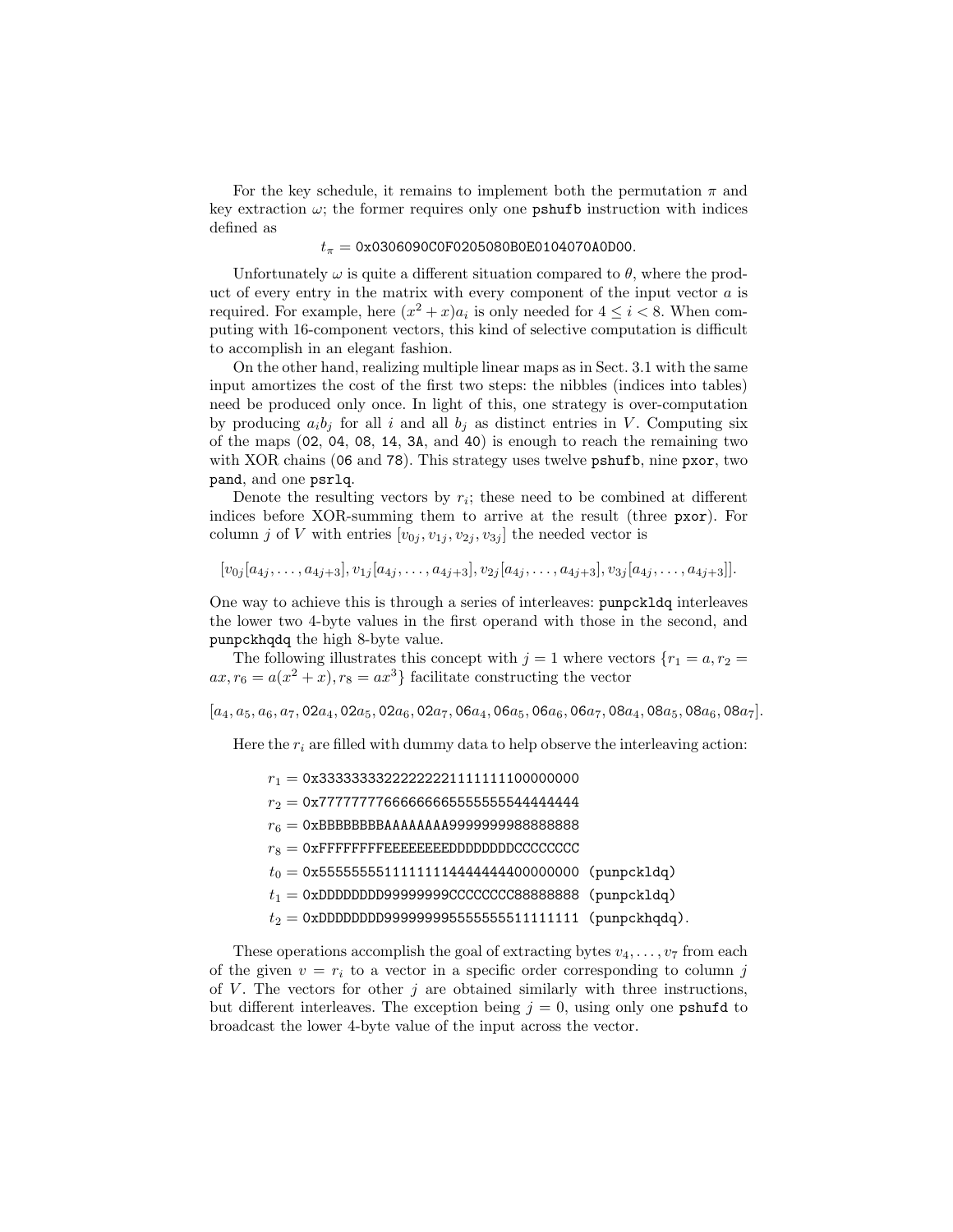For the key schedule, it remains to implement both the permutation  $\pi$  and key extraction  $\omega$ ; the former requires only one **pshufb** instruction with indices defined as

# $t_{\pi} = 0x0306090C0F0205080B0E0104070A0D00.$

Unfortunately  $\omega$  is quite a different situation compared to  $\theta$ , where the product of every entry in the matrix with every component of the input vector  $a$  is required. For example, here  $(x^2 + x)a_i$  is only needed for  $4 \le i < 8$ . When computing with 16-component vectors, this kind of selective computation is difficult to accomplish in an elegant fashion.

On the other hand, realizing multiple linear maps as in Sect. 3.1 with the same input amortizes the cost of the first two steps: the nibbles (indices into tables) need be produced only once. In light of this, one strategy is over-computation by producing  $a_i b_j$  for all i and all  $b_j$  as distinct entries in V. Computing six of the maps (02, 04, 08, 14, 3A, and 40) is enough to reach the remaining two with XOR chains (06 and 78). This strategy uses twelve pshufb, nine pxor, two pand, and one psrlq.

Denote the resulting vectors by  $r_i$ ; these need to be combined at different indices before XOR-summing them to arrive at the result (three pxor). For column j of V with entries  $[v_{0j}, v_{1j}, v_{2j}, v_{3j}]$  the needed vector is

 $[v_{0j} [a_{4j}, \ldots, a_{4j+3}], v_{1j} [a_{4j}, \ldots, a_{4j+3}], v_{2j} [a_{4j}, \ldots, a_{4j+3}], v_{3j} [a_{4j}, \ldots, a_{4j+3}].$ 

One way to achieve this is through a series of interleaves: punpckldq interleaves the lower two 4-byte values in the first operand with those in the second, and punpckhqdq the high 8-byte value.

The following illustrates this concept with  $j = 1$  where vectors  ${r_1 = a, r_2 = ...}$  $ax, r_6 = a(x^2 + x), r_8 = ax^3$  facilitate constructing the vector

 $[a_4, a_5, a_6, a_7, 02a_4, 02a_5, 02a_6, 02a_7, 06a_4, 06a_5, 06a_6, 06a_7, 08a_4, 08a_5, 08a_6, 08a_7]$ 

Here the  $r_i$  are filled with dummy data to help observe the interleaving action:

- $r_1 = 0$ x33333333222222221111111100000000
- $r_2 = 0x777777776666666655555555444444444$
- r<sup>6</sup> = 0xBBBBBBBBAAAAAAAA9999999988888888
- $r_8 = 0x$ FFFFFFFFEEEEEEEEDDDDDDDDCCCCCCCC
- $t_0 = 0$ x5555555551111111144444444000000000 (punpckldq)
- $t_1 = 0$ xDDDDDDDD99999999CCCCCCCC88888888888 (punpckldq)
- $t_2 = 0$ xDDDDDDDD999999955555555511111111 (punpckhqdq).

These operations accomplish the goal of extracting bytes  $v_4, \ldots, v_7$  from each of the given  $v = r_i$  to a vector in a specific order corresponding to column j of V. The vectors for other  $i$  are obtained similarly with three instructions, but different interleaves. The exception being  $j = 0$ , using only one pshufd to broadcast the lower 4-byte value of the input across the vector.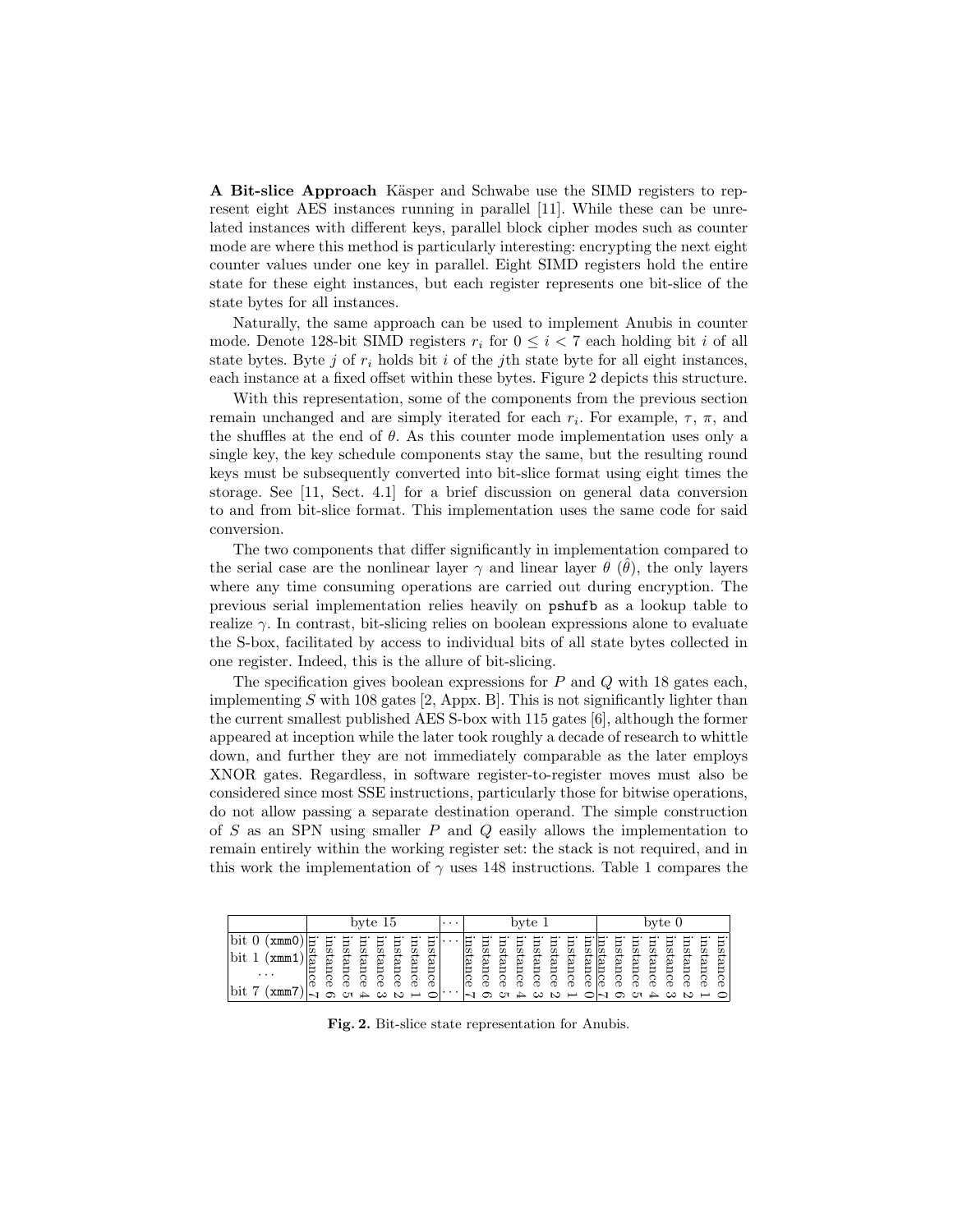A Bit-slice Approach Käsper and Schwabe use the SIMD registers to represent eight AES instances running in parallel [11]. While these can be unrelated instances with different keys, parallel block cipher modes such as counter mode are where this method is particularly interesting: encrypting the next eight counter values under one key in parallel. Eight SIMD registers hold the entire state for these eight instances, but each register represents one bit-slice of the state bytes for all instances.

Naturally, the same approach can be used to implement Anubis in counter mode. Denote 128-bit SIMD registers  $r_i$  for  $0 \leq i < 7$  each holding bit i of all state bytes. Byte j of  $r_i$  holds bit i of the jth state byte for all eight instances, each instance at a fixed offset within these bytes. Figure 2 depicts this structure.

With this representation, some of the components from the previous section remain unchanged and are simply iterated for each  $r_i$ . For example,  $\tau$ ,  $\pi$ , and the shuffles at the end of  $\theta$ . As this counter mode implementation uses only a single key, the key schedule components stay the same, but the resulting round keys must be subsequently converted into bit-slice format using eight times the storage. See [11, Sect. 4.1] for a brief discussion on general data conversion to and from bit-slice format. This implementation uses the same code for said conversion.

The two components that differ significantly in implementation compared to the serial case are the nonlinear layer  $\gamma$  and linear layer  $\theta$  ( $\hat{\theta}$ ), the only layers where any time consuming operations are carried out during encryption. The previous serial implementation relies heavily on pshufb as a lookup table to realize  $\gamma$ . In contrast, bit-slicing relies on boolean expressions alone to evaluate the S-box, facilitated by access to individual bits of all state bytes collected in one register. Indeed, this is the allure of bit-slicing.

The specification gives boolean expressions for  $P$  and  $Q$  with 18 gates each, implementing  $S$  with 108 gates [2, Appx. B]. This is not significantly lighter than the current smallest published AES S-box with 115 gates [6], although the former appeared at inception while the later took roughly a decade of research to whittle down, and further they are not immediately comparable as the later employs XNOR gates. Regardless, in software register-to-register moves must also be considered since most SSE instructions, particularly those for bitwise operations, do not allow passing a separate destination operand. The simple construction of  $S$  as an SPN using smaller  $P$  and  $Q$  easily allows the implementation to remain entirely within the working register set: the stack is not required, and in this work the implementation of  $\gamma$  uses 148 instructions. Table 1 compares the

|                                   | byte $15$ |       |       |        |             |                 | $\cdots$              |         | byte 1 |                |      |       | byte 0 |       |        |       |       |          |       |      |       |       |                       |      |             |
|-----------------------------------|-----------|-------|-------|--------|-------------|-----------------|-----------------------|---------|--------|----------------|------|-------|--------|-------|--------|-------|-------|----------|-------|------|-------|-------|-----------------------|------|-------------|
| xmmC                              |           | g     | m     | SЦ     | $_{\rm SI}$ | БI              | $\overline{\text{m}}$ | Ľ<br>ΞS |        |                | SЦ   | m     | 51     | m     | Зu     | m     | E     | <u>n</u> | ЗI    | 믒    | m     | 51    | $\overline{\text{m}}$ | БI   | Ĺ<br>⊢<br>ದ |
| bit<br>xmm                        | ∣ฐ        | ←     |       | ←<br>ğ |             | ue <sub>1</sub> |                       | ←<br>gn |        |                | ←    |       | ←      |       | ←<br>ø |       |       |          |       | ←    |       |       |                       | ←    | ←<br>Ò      |
| $\cdot$ $\cdot$ $\cdot$           |           | ance. | tance | ā<br>Ф | tance       | ō<br>o          | tance                 | 6<br>Ф  |        | <u>nstance</u> | ance | tance | ance   | tance | nce    | tance | tance | tance    | tance | ance | tance | tance | tance                 | ance | ã<br>o      |
| $\overline{ }$<br>bit<br>–<br>xmm |           |       | ্যে   |        |             | $\sim$ $\sim$   |                       |         | . .    |                |      |       | ↛      | ల     | S      |       |       |          | ⊕     | ্যে  | ↛     | ు     | S                     |      |             |

Fig. 2. Bit-slice state representation for Anubis.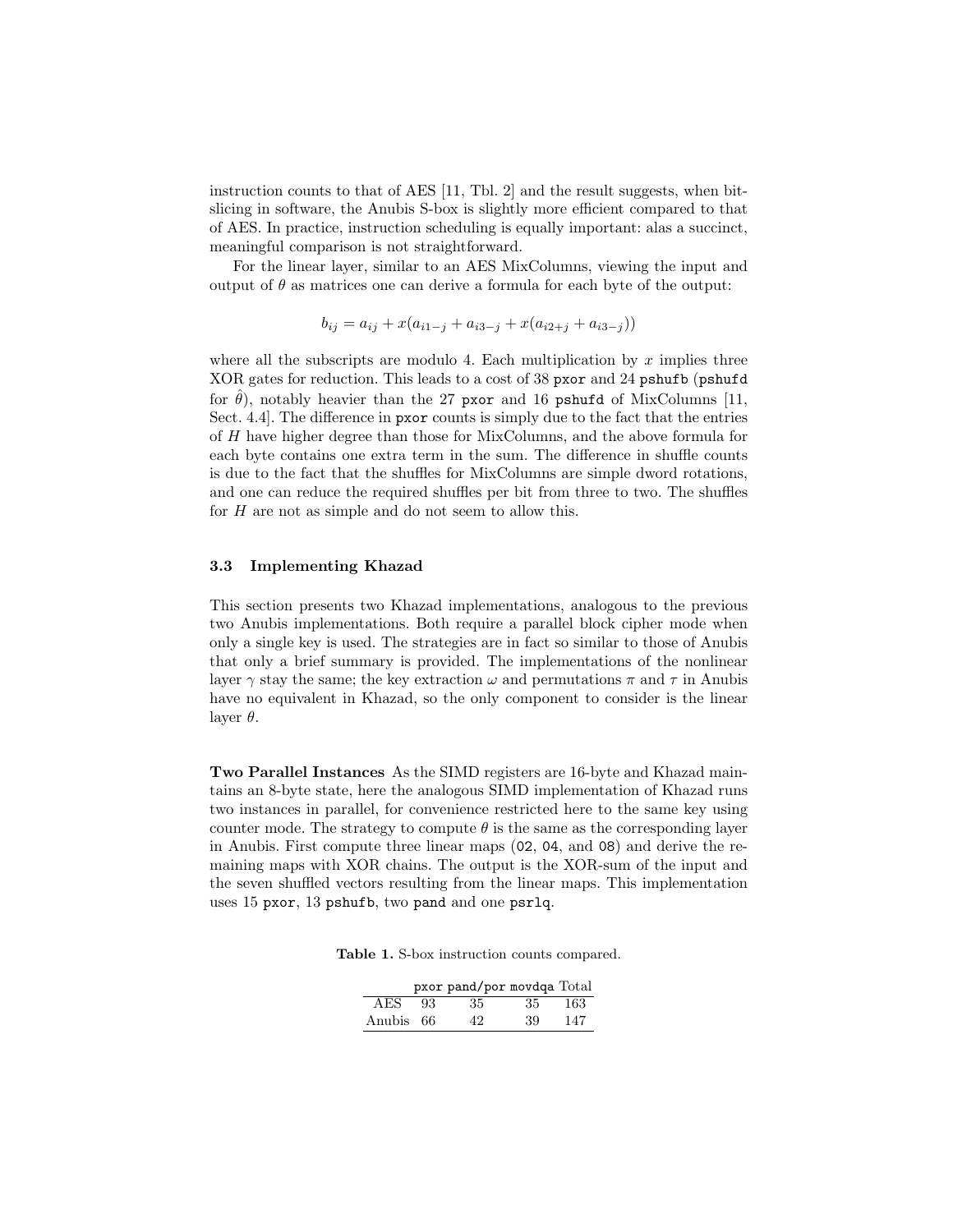instruction counts to that of AES  $[11, Thl. 2]$  and the result suggests, when bitslicing in software, the Anubis S-box is slightly more efficient compared to that of AES. In practice, instruction scheduling is equally important: alas a succinct, meaningful comparison is not straightforward.

For the linear layer, similar to an AES MixColumns, viewing the input and output of  $\theta$  as matrices one can derive a formula for each byte of the output:

$$
b_{ij} = a_{ij} + x(a_{i1-j} + a_{i3-j} + x(a_{i2+j} + a_{i3-j}))
$$

where all the subscripts are modulo 4. Each multiplication by  $x$  implies three XOR gates for reduction. This leads to a cost of 38 pxor and 24 pshufb (pshufd for  $\theta$ ), notably heavier than the 27 pxor and 16 pshufd of MixColumns [11, Sect. 4.4]. The difference in pxor counts is simply due to the fact that the entries of H have higher degree than those for MixColumns, and the above formula for each byte contains one extra term in the sum. The difference in shuffle counts is due to the fact that the shuffles for MixColumns are simple dword rotations, and one can reduce the required shuffles per bit from three to two. The shuffles for  $H$  are not as simple and do not seem to allow this.

#### 3.3 Implementing Khazad

This section presents two Khazad implementations, analogous to the previous two Anubis implementations. Both require a parallel block cipher mode when only a single key is used. The strategies are in fact so similar to those of Anubis that only a brief summary is provided. The implementations of the nonlinear layer  $\gamma$  stay the same; the key extraction  $\omega$  and permutations  $\pi$  and  $\tau$  in Anubis have no equivalent in Khazad, so the only component to consider is the linear layer  $\theta$ .

Two Parallel Instances As the SIMD registers are 16-byte and Khazad maintains an 8-byte state, here the analogous SIMD implementation of Khazad runs two instances in parallel, for convenience restricted here to the same key using counter mode. The strategy to compute  $\theta$  is the same as the corresponding layer in Anubis. First compute three linear maps (02, 04, and 08) and derive the remaining maps with XOR chains. The output is the XOR-sum of the input and the seven shuffled vectors resulting from the linear maps. This implementation uses 15 pxor, 13 pshufb, two pand and one psrlq.

Table 1. S-box instruction counts compared.

|           |     | pxor pand/por movdqa Total |      |      |
|-----------|-----|----------------------------|------|------|
| AES.      | -93 | 35.                        | - 35 | -163 |
| Anubis 66 |     | 42                         | 39   | 147  |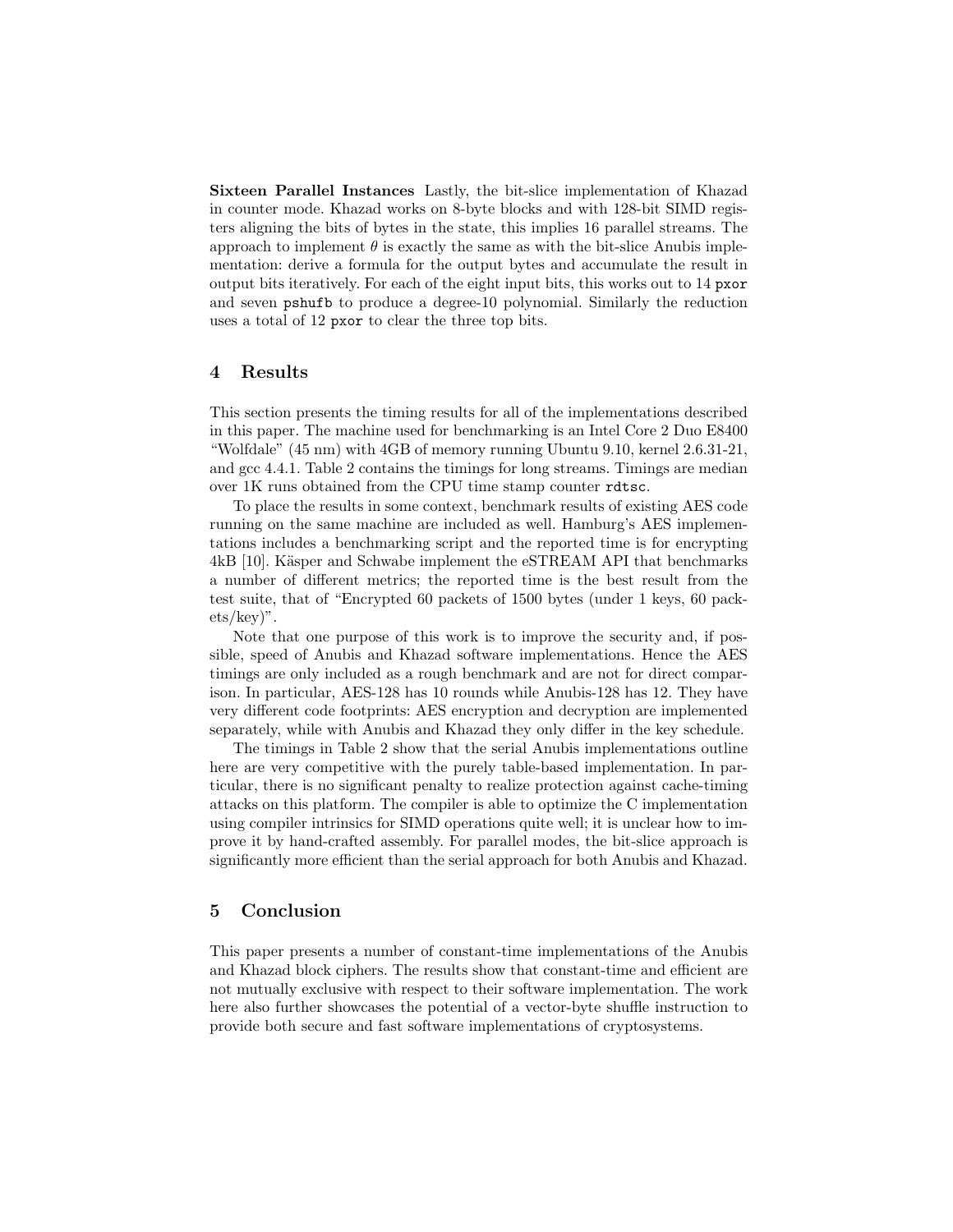Sixteen Parallel Instances Lastly, the bit-slice implementation of Khazad in counter mode. Khazad works on 8-byte blocks and with 128-bit SIMD registers aligning the bits of bytes in the state, this implies 16 parallel streams. The approach to implement  $\theta$  is exactly the same as with the bit-slice Anubis implementation: derive a formula for the output bytes and accumulate the result in output bits iteratively. For each of the eight input bits, this works out to 14 pxor and seven pshufb to produce a degree-10 polynomial. Similarly the reduction uses a total of 12 pxor to clear the three top bits.

## 4 Results

This section presents the timing results for all of the implementations described in this paper. The machine used for benchmarking is an Intel Core 2 Duo E8400 "Wolfdale" (45 nm) with 4GB of memory running Ubuntu 9.10, kernel 2.6.31-21, and gcc 4.4.1. Table 2 contains the timings for long streams. Timings are median over 1K runs obtained from the CPU time stamp counter rdtsc.

To place the results in some context, benchmark results of existing AES code running on the same machine are included as well. Hamburg's AES implementations includes a benchmarking script and the reported time is for encrypting 4kB [10]. Käsper and Schwabe implement the eSTREAM API that benchmarks a number of different metrics; the reported time is the best result from the test suite, that of "Encrypted 60 packets of 1500 bytes (under 1 keys, 60 packets/key)".

Note that one purpose of this work is to improve the security and, if possible, speed of Anubis and Khazad software implementations. Hence the AES timings are only included as a rough benchmark and are not for direct comparison. In particular, AES-128 has 10 rounds while Anubis-128 has 12. They have very different code footprints: AES encryption and decryption are implemented separately, while with Anubis and Khazad they only differ in the key schedule.

The timings in Table 2 show that the serial Anubis implementations outline here are very competitive with the purely table-based implementation. In particular, there is no significant penalty to realize protection against cache-timing attacks on this platform. The compiler is able to optimize the C implementation using compiler intrinsics for SIMD operations quite well; it is unclear how to improve it by hand-crafted assembly. For parallel modes, the bit-slice approach is significantly more efficient than the serial approach for both Anubis and Khazad.

# 5 Conclusion

This paper presents a number of constant-time implementations of the Anubis and Khazad block ciphers. The results show that constant-time and efficient are not mutually exclusive with respect to their software implementation. The work here also further showcases the potential of a vector-byte shuffle instruction to provide both secure and fast software implementations of cryptosystems.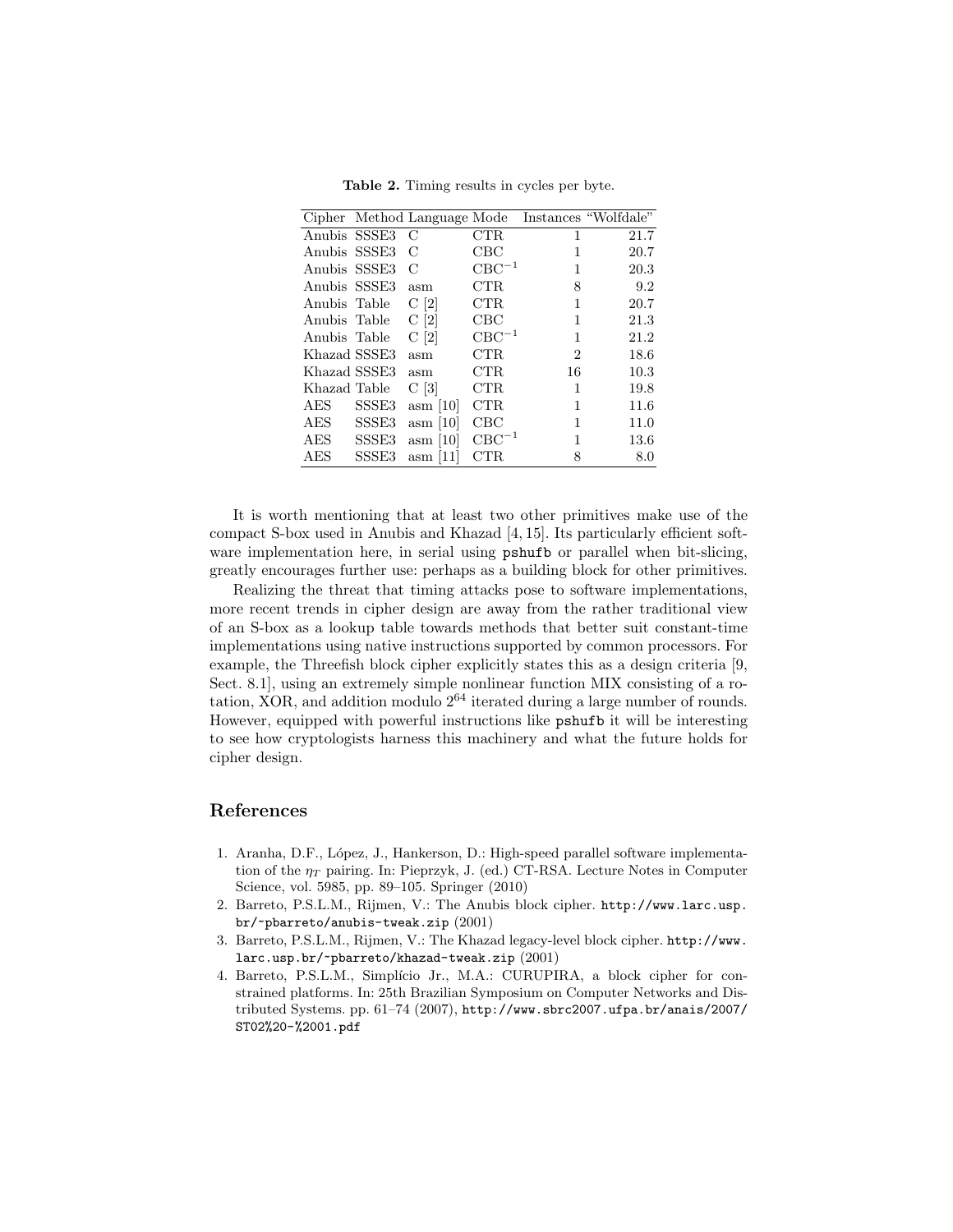|              |                   |                              |              |                | Cipher Method Language Mode Instances "Wolfdale" |
|--------------|-------------------|------------------------------|--------------|----------------|--------------------------------------------------|
| Anubis SSSE3 |                   | C                            | CTR          | 1              | 21.7                                             |
| Anubis SSSE3 |                   | С                            | $_{\rm CBC}$ | 1              | 20.7                                             |
| Anubis SSSE3 |                   | С                            | $CBC^{-1}$   | 1              | 20.3                                             |
| Anubis SSSE3 |                   | asm                          | CTR          | 8              | 9.2                                              |
| Anubis Table |                   | C[2]                         | CTR          | 1              | 20.7                                             |
| Anubis Table |                   | C[2]                         | $_{\rm CBC}$ | 1              | 21.3                                             |
| Anubis Table |                   | C[2]                         | $CBC^{-1}$   | 1              | 21.2                                             |
| Khazad SSSE3 |                   | asm                          | CTR          | $\overline{2}$ | 18.6                                             |
| Khazad SSSE3 |                   | asm                          | CTR          | 16             | 10.3                                             |
| Khazad Table |                   | C[3]                         | CTR          | 1              | 19.8                                             |
| AES          | SSSE <sub>3</sub> | $\text{asm} \left[10\right]$ | CTR          | 1              | 11.6                                             |
| AES          | SSSE <sub>3</sub> | $\text{asm}$ [10]            | $_{\rm CBC}$ | 1              | 11.0                                             |
| AES          | SSSE3             | $\operatorname{asm}$ [10]    | $CBC^{-1}$   | 1              | $13.6\,$                                         |
| AES          | SSSE3             | $\text{asm}$ [11]            | $_{\rm CTR}$ | 8              | 8.0                                              |

Table 2. Timing results in cycles per byte.

It is worth mentioning that at least two other primitives make use of the compact S-box used in Anubis and Khazad [4, 15]. Its particularly efficient software implementation here, in serial using pshufb or parallel when bit-slicing, greatly encourages further use: perhaps as a building block for other primitives.

Realizing the threat that timing attacks pose to software implementations, more recent trends in cipher design are away from the rather traditional view of an S-box as a lookup table towards methods that better suit constant-time implementations using native instructions supported by common processors. For example, the Threefish block cipher explicitly states this as a design criteria [9, Sect. 8.1], using an extremely simple nonlinear function MIX consisting of a rotation, XOR, and addition modulo  $2^{64}$  iterated during a large number of rounds. However, equipped with powerful instructions like pshufb it will be interesting to see how cryptologists harness this machinery and what the future holds for cipher design.

# References

- 1. Aranha, D.F., L´opez, J., Hankerson, D.: High-speed parallel software implementation of the  $\eta_T$  pairing. In: Pieprzyk, J. (ed.) CT-RSA. Lecture Notes in Computer Science, vol. 5985, pp. 89–105. Springer (2010)
- 2. Barreto, P.S.L.M., Rijmen, V.: The Anubis block cipher. http://www.larc.usp. br/~pbarreto/anubis-tweak.zip (2001)
- 3. Barreto, P.S.L.M., Rijmen, V.: The Khazad legacy-level block cipher. http://www. larc.usp.br/~pbarreto/khazad-tweak.zip (2001)
- 4. Barreto, P.S.L.M., Simplício Jr., M.A.: CURUPIRA, a block cipher for constrained platforms. In: 25th Brazilian Symposium on Computer Networks and Distributed Systems. pp. 61–74 (2007), http://www.sbrc2007.ufpa.br/anais/2007/ ST02%20-%2001.pdf